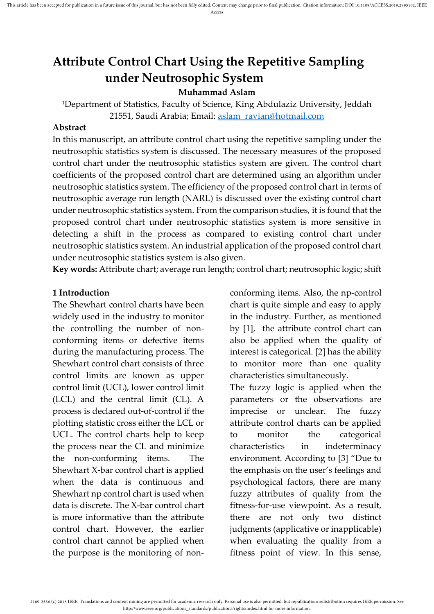# **Attribute Control Chart Using the Repetitive Sampling under Neutrosophic System**

#### **Muhammad Aslam**

<sup>1</sup>Department of Statistics, Faculty of Science, King Abdulaziz University, Jeddah 21551, Saudi Arabia; Email: [aslam\\_ravian@hotmail.com](mailto:aslam_ravian@hotmail.com)

#### **Abstract**

In this manuscript, an attribute control chart using the repetitive sampling under the neutrosophic statistics system is discussed. The necessary measures of the proposed control chart under the neutrosophic statistics system are given. The control chart coefficients of the proposed control chart are determined using an algorithm under neutrosophic statistics system. The efficiency of the proposed control chart in terms of neutrosophic average run length (NARL) is discussed over the existing control chart under neutrosophic statistics system. From the comparison studies, it is found that the proposed control chart under neutrosophic statistics system is more sensitive in detecting a shift in the process as compared to existing control chart under neutrosophic statistics system. An industrial application of the proposed control chart under neutrosophic statistics system is also given.

**Key words:** Attribute chart; average run length; control chart; neutrosophic logic; shift

#### **1 Introduction**

The Shewhart control charts have been widely used in the industry to monitor the controlling the number of nonconforming items or defective items during the manufacturing process. The Shewhart control chart consists of three control limits are known as upper control limit (UCL), lower control limit (LCL) and the central limit (CL). A process is declared out-of-control if the plotting statistic cross either the LCL or UCL. The control charts help to keep the process near the CL and minimize the non-conforming items. The Shewhart X-bar control chart is applied when the data is continuous and Shewhart np control chart is used when data is discrete. The X-bar control chart is more informative than the attribute control chart. However, the earlier control chart cannot be applied when the purpose is the monitoring of nonconforming items. Also, the np-control chart is quite simple and easy to apply in the industry. Further, as mentioned by [\[1\]](#page-6-0), the attribute control chart can also be applied when the quality of interest is categorical. [\[2\]](#page-6-1) has the ability to monitor more than one quality characteristics simultaneously.

The fuzzy logic is applied when the parameters or the observations are imprecise or unclear. The fuzzy attribute control charts can be applied to monitor the categorical characteristics in indeterminacy environment. According to [\[3\]](#page-6-2) "Due to the emphasis on the user's feelings and psychological factors, there are many fuzzy attributes of quality from the fitness-for-use viewpoint. As a result, there are not only two distinct judgments (applicative or inapplicable) when evaluating the quality from a fitness point of view. In this sense,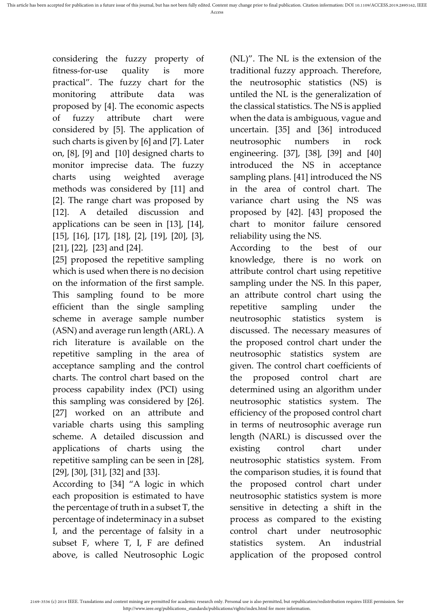considering the fuzzy property of fitness-for-use quality is more practical". The fuzzy chart for the monitoring attribute data was proposed by [\[4\]](#page-6-3). The economic aspects of fuzzy attribute chart were considered by [\[5\]](#page-6-4). The application of such charts is given by [\[6\]](#page-6-5) and [\[7\]](#page-6-6). Later on, [\[8\]](#page-6-7), [\[9\]](#page-6-8) and [\[10\]](#page-6-9) designed charts to monitor imprecise data. The fuzzy charts using weighted average methods was considered by [\[11\]](#page-6-10) and [\[2\]](#page-6-1). The range chart was proposed by [\[12\]](#page-6-11). A detailed discussion and applications can be seen in [\[13\]](#page-6-12), [\[14\]](#page-6-13), [\[15\]](#page-6-14), [\[16\]](#page-6-15), [\[17\]](#page-7-0), [\[18\]](#page-7-1), [\[2\]](#page-6-1), [\[19\]](#page-7-2), [\[20\]](#page-7-3), [\[3\]](#page-6-2), [\[21\]](#page-7-4), [\[22\]](#page-7-5), [\[23\]](#page-7-6) and [\[24\]](#page-7-7).

[\[25\]](#page-7-8) proposed the repetitive sampling which is used when there is no decision on the information of the first sample. This sampling found to be more efficient than the single sampling scheme in average sample number (ASN) and average run length (ARL). A rich literature is available on the repetitive sampling in the area of acceptance sampling and the control charts. The control chart based on the process capability index (PCI) using this sampling was considered by [\[26\]](#page-7-9). [\[27\]](#page-7-10) worked on an attribute and variable charts using this sampling scheme. A detailed discussion and applications of charts using the repetitive sampling can be seen in [\[28\]](#page-7-11), [\[29\]](#page-7-12), [\[30\]](#page-7-13), [\[31\]](#page-7-14), [\[32\]](#page-8-0) and [\[33\]](#page-8-1).

According to [\[34\]](#page-8-2) "A logic in which each proposition is estimated to have the percentage of truth in a subset T, the percentage of indeterminacy in a subset I, and the percentage of falsity in a subset F, where T, I, F are defined above, is called Neutrosophic Logic (NL)". The NL is the extension of the traditional fuzzy approach. Therefore, the neutrosophic statistics (NS) is untiled the NL is the generalization of the classical statistics. The NS is applied when the data is ambiguous, vague and uncertain. [\[35\]](#page-8-3) and [\[36\]](#page-8-4) introduced neutrosophic numbers in rock engineering. [\[37\]](#page-8-5), [\[38\]](#page-8-6), [\[39\]](#page-8-7) and [\[40\]](#page-8-8) introduced the NS in acceptance sampling plans. [\[41\]](#page-8-9) introduced the NS in the area of control chart. The variance chart using the NS was proposed by [\[42\]](#page-8-10). [\[43\]](#page-8-11) proposed the chart to monitor failure censored reliability using the NS.

According to the best of our knowledge, there is no work on attribute control chart using repetitive sampling under the NS. In this paper, an attribute control chart using the repetitive sampling under the neutrosophic statistics system is discussed. The necessary measures of the proposed control chart under the neutrosophic statistics system are given. The control chart coefficients of the proposed control chart are determined using an algorithm under neutrosophic statistics system. The efficiency of the proposed control chart in terms of neutrosophic average run length (NARL) is discussed over the existing control chart under neutrosophic statistics system. From the comparison studies, it is found that the proposed control chart under neutrosophic statistics system is more sensitive in detecting a shift in the process as compared to the existing control chart under neutrosophic statistics system. An industrial application of the proposed control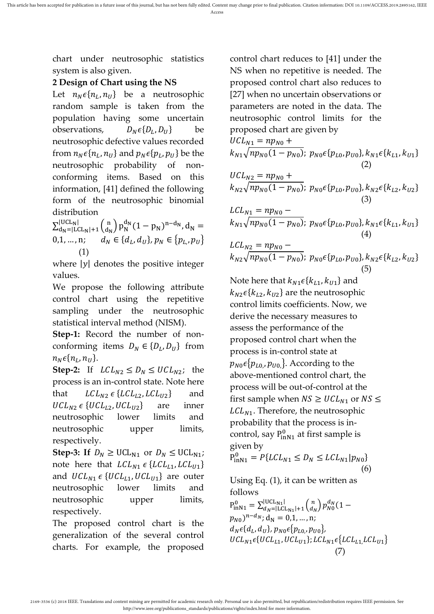chart under neutrosophic statistics system is also given.

## **2 Design of Chart using the NS**

Let  $n_N \epsilon \{n_L, n_U\}$  be a neutrosophic random sample is taken from the population having some uncertain observations, {  $D_N \epsilon \{D_L, D_U\}$  be neutrosophic defective values recorded from  $n_N \epsilon \{n_L, n_U\}$  and  $p_N \epsilon \{p_L, p_U\}$  be the neutrosophic probability of nonconforming items. Based on this information, [\[41\]](#page-8-9) defined the following form of the neutrosophic binomial distribution

 $\sum_{\text{day}=1}^{\text{UCL}}$ <sub>N</sub> $\left( \begin{array}{c} n \\ \text{dy} \end{array} \right)$  $|UCL_N|$ <br>d<sub>N</sub>=|LCL<sub>N</sub>|+1  $\begin{pmatrix} n \\ d_N \end{pmatrix}$  $\int_{d_N=|LCL_N|+1}^{|UCL_N|} {\binom{n}{d_N}} p_N^{d_N} (1-p_N)^{n-d_N}, d_N =$ 0,1, ..., n;  $d_N \in \{d_L, d_U\}$ ,  $p_N \in \{p_{L,\nu}, p_U\}$ (1)

where  $|y|$  denotes the positive integer values.

We propose the following attribute control chart using the repetitive sampling under the neutrosophic statistical interval method (NISM).

**Step-1:** Record the number of nonconforming items  $D_N \in \{D_L, D_U\}$  from  $n_N \epsilon\{n_L, n_U\}.$ 

**Step-2:** If  $LCL_{N2} \le D_N \le UCL_{N2}$ ; the process is an in-control state. Note here that  $LCL_{N2} \in \{LCL_{L2}, LCL_{U2}\}$  and  $UCL_{N2} \in \{UCL_{L2}, UCL_{U2}\}$  are inner neutrosophic lower limits and neutrosophic upper limits, respectively.

**Step-3:** If  $D_N \geq \text{UCL}_{N1}$  or  $D_N \leq \text{UCL}_{N1}$ ; note here that  $LCL_{N1} \in \{LCL_{L1}, LCL_{U1}\}\$ and  $UCL_{N1} \in \{UCL_{L1}, UCL_{U1}\}$  are outer neutrosophic lower limits and neutrosophic upper limits, respectively.

The proposed control chart is the generalization of the several control charts. For example, the proposed

control chart reduces to [\[41\]](#page-8-9) under the NS when no repetitive is needed. The proposed control chart also reduces to [\[27\]](#page-7-10) when no uncertain observations or parameters are noted in the data. The neutrosophic control limits for the proposed chart are given by  $UCL_{N1} = np_{N0} +$  $k_{N1}\sqrt{np_{N0}(1-p_{N0})}; p_{N0}\epsilon\{p_{L0}, p_{U0}\}, k_{N1}\epsilon\{k_{L1}, k_{U1}\}\$  $(2)$  $UCL_{N2} = np_{N0} +$  $k_{N2}\sqrt{np_{N0}(1-p_{N0})}; p_{N0}\epsilon\{p_{L0}, p_{U0}\}, k_{N2}\epsilon\{k_{L2}, k_{U2}\}\$  (3)  $LCL_{N1} = np_{N0}$  $k_{N1}\sqrt{np_{N0}(1-p_{N0})}; p_{N0}\epsilon\{p_{L0}, p_{U0}\}, k_{N1}\epsilon\{k_{L1}, k_{U1}\}\$  (4)  $LCL_{N2} = np_{N0}$  $k_{N2}\sqrt{np_{N0}(1-p_{N0})};\ p_{N0}\epsilon\{p_{L0},p_{U0}\},k_{N2}\epsilon\{k_{L2},k_{U2}\}$  $(5)$ 

Note here that  $k_{N1} \epsilon \{k_{L1}, k_{U1}\}$  and  $k_{N2} \epsilon \{k_{L2}, k_{U2}\}\$  are the neutrosophic control limits coefficients. Now, we derive the necessary measures to assess the performance of the proposed control chart when the process is in-control state at  $p_{N0} \epsilon \{p_{L0}, p_{U0}\}\$ . According to the above-mentioned control chart, the process will be out-of-control at the first sample when  $NS \ge UCL_{N1}$  or  $NS \le$  $LCL_{N1}$ . Therefore, the neutrosophic probability that the process is incontrol, say  $P_{inN1}^0$  at first sample is given by

$$
P_{\text{inN1}}^0 = P\{LCL_{N1} \le D_N \le LCL_{N1} | p_{N0} \}
$$
\n(6)

Using Eq. (1), it can be written as follows

 $P_{\text{inN1}}^{0} = \sum_{d_N=|\text{LCL}_{\text{N1}}|+1}^{|UCL_{\text{N1}}|} \binom{n}{d_N}$  $|UCL_{N1}|$ <br>  $d_N=|LCL_{N1}|+1$   $\binom{n}{d_N} p_{N0}^{d_N} (1 (p_{N0})^{n-d_N}$ ; d<sub>N</sub> = 0,1, ..., n;  $d_N \epsilon \{d_L, d_U\}$ ,  $p_{N0} \epsilon \{p_{L0}$ ,  $p_{U0}\}$ ,  $UCL_{N1} \epsilon \{UCL_{L1}, UCL_{U1}\}; LCL_{N1} \epsilon \{LCL_{L1}, LCL_{U1}\}$ (7)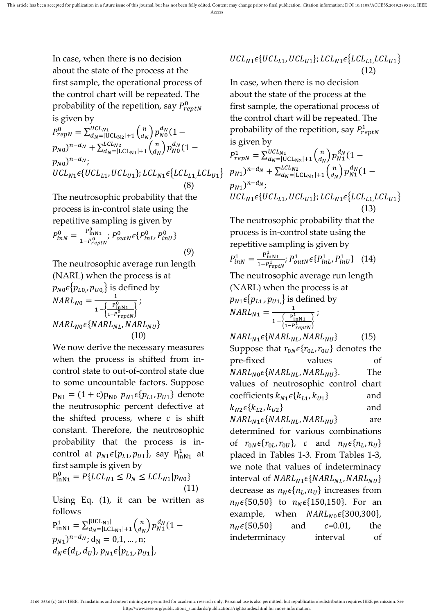In case, when there is no decision about the state of the process at the first sample, the operational process of the control chart will be repeated. The probability of the repetition, say  $P^0_{reptN}$ is given by

$$
P_{repN}^{0} = \sum_{d_{N}}^{UCL_{N1}} \sum_{l}^{UCL_{N2}} \left(\begin{matrix} n \\ d_{N} \end{matrix}\right) p_{N0}^{d_{N}} (1 - p_{N0})^{n - d_{N}} + \sum_{d_{N}}^{LCL_{N2}} \left(\begin{matrix} n \\ d_{N} \end{matrix}\right) p_{N0}^{d_{N}} (1 - p_{N0})^{n - d_{N}}; \\
UCL_{N1} \epsilon \{ UCL_{L1}, UCL_{U1} \}; LCL_{N1} \epsilon \{ LCL_{L1}, LCL_{U1} \} \tag{8}
$$

The neutrosophic probability that the process is in-control state using the repetitive sampling is given by

$$
P_{inN}^{0} = \frac{P_{inN1}^{0}}{1 - P_{reptN}^{0}}; P_{outN}^{0} \epsilon \{P_{inL}^{0}, P_{inU}^{0}\}
$$
\n(9)

The neutrosophic average run length (NARL) when the process is at  $p_{N0}\epsilon\{p_{L0}, p_{U0,}\}$  is defined by  $NARI_{N0} = \frac{1}{(P_{p1}^{0.0})^{1/2}}$  $1 - \frac{P_{\text{inN1}}^0}{P_{\text{inN1}}^0}$  $\frac{1 - P_{reptN}^0}{1 - P_{reptN}^0}$ ;  $NARL_{N0} \epsilon \{NARL_{NL}, NARL_{NU}\}$ (10)

We now derive the necessary measures when the process is shifted from incontrol state to out-of-control state due to some uncountable factors. Suppose  $p_{N1} = (1 + c)p_{N0} p_{N1} \epsilon \{p_{L1}, p_{U1}\}\$  denote the neutrosophic percent defective at the shifted process, where  $c$  is shift constant. Therefore, the neutrosophic probability that the process is incontrol at  $p_{N1}\epsilon\{p_{L1}, p_{U1}\}$ , say  $P_{\text{inN1}}^1$  at first sample is given by

$$
P_{\text{inN1}}^0 = P\{LCL_{N1} \le D_N \le LCL_{N1} | p_{N0} \}
$$
\n(11)

Using Eq.  $(1)$ , it can be written as follows

$$
P_{\text{inN1}}^{1} = \sum_{d_N=|\text{LCL}_{\text{N1}}|+1}^{|UCL_{\text{N1}}|} {n \choose d_N} p_{N1}^{d_N} (1 - p_{N1})^{n - d_N}; d_N = 0, 1, ..., n; \nd_N \in \{d_L, d_U\}, p_{N1} \in \{p_{L1}, p_{U1}\},
$$

$$
UCL_{N1}\epsilon\{UCL_{L1}, UCL_{U1}\}; LCL_{N1}\epsilon\{LCL_{L1}, LCL_{U1}\}\
$$
\n(12)

In case, when there is no decision about the state of the process at the first sample, the operational process of the control chart will be repeated. The probability of the repetition, say  $P_{reptN}^1$ is given by

$$
P_{repN}^{1} = \sum_{d_{N}=|\text{UCL}_{N2}|+1}^{UCL_{N1}} {n \choose d_{N}} p_{N1}^{d_{N}} (1 - p_{N1})^{n-d_{N}} + \sum_{d_{N}=|\text{LCL}_{N1}|+1}^{LCL_{N2}} {n \choose d_{N}} p_{N1}^{d_{N}} (1 - p_{N1})^{n-d_{N}};
$$
  
\n
$$
UCL_{N1} \epsilon \{UCL_{L1}, UCL_{U1}\}; LCL_{N1} \epsilon \{LCL_{L1}, LCL_{U1}\} \qquad (13)
$$

The neutrosophic probability that the process is in-control state using the repetitive sampling is given by

$$
P_{inN}^1 = \frac{P_{inN1}^1}{1 - P_{reptN}^1}; \, P_{outN}^1 \epsilon \{ P_{inL}^1, P_{inU}^1 \} \quad (14)
$$

The neutrosophic average run length (NARL) when the process is at  $p_{N1}\epsilon\{p_{L1}, p_{U1,}\}$  is defined by  $NARI_{N1} = \frac{1}{(P)^{1/2}}$  $1 - \left\{\frac{P_{\text{inN1}}^1}{P_{\text{inN1}}^1}\right\}$  $\frac{\text{lnN1}}{1-P_{reptN}^1}$ ;

 $NARL_{N1} \epsilon \{NARL_{NL}, NARL_{NU}\}$  (15) Suppose that  $r_{0N} \epsilon \{r_{0L}, r_{0U}\}$  denotes the pre-fixed values of  $NARL_{N0} \epsilon \{NARL_{NL}, NARL_{NU}\}.$  The values of neutrosophic control chart coefficients  $k_{N1} \epsilon \{k_{L1}, k_{U1}\}$  and  $k_{N2} \epsilon \{k_{L2}, k_{U2}\}$  and  $NARL_{N1} \epsilon \{NARL_{NL}, NARL_{NU}\}$  are determined for various combinations of  $r_{0N}\epsilon\{r_{0L}, r_{0U}\}$ , c and  $n_N\epsilon\{n_L, n_U\}$ placed in Tables 1-3. From Tables 1-3, we note that values of indeterminacy interval of  $NARL_{N1}\epsilon\{NARL_{NL}, NARL_{NU}\}$ decrease as  $n_N \epsilon \{n_L, n_U\}$  increases from  $n_N \in \{50, 50\}$  to  $n_N \in \{150, 150\}$ . For an example, when  $NARL_{N0}\epsilon$ {300,300},  $n_N \in \{50, 50\}$  and  $c = 0.01$ , the indeterminacy interval of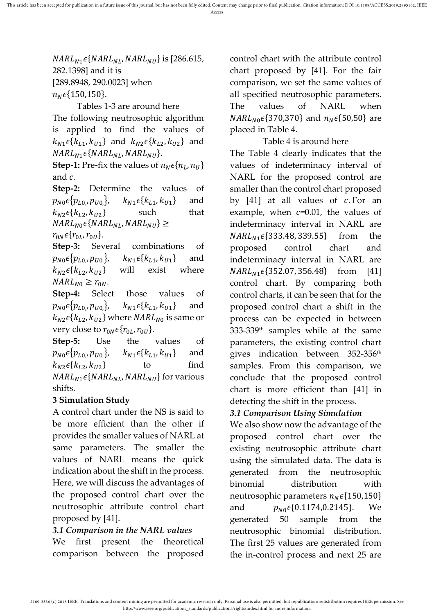$NARL_{N1}\epsilon\{NARL_{NL}, NARL_{NU}\}\$ is [286.615, 282.1398] and it is [289.8948, 290.0023] when  $n_N \epsilon \{150, 150\}.$ 

Tables 1-3 are around here The following neutrosophic algorithm is applied to find the values of  $k_{N1} \epsilon \{k_{L1}, k_{U1}\}$  and  $k_{N2} \epsilon \{k_{L2}, k_{U2}\}$  and  $NARL_{N1}\epsilon\{NARL_{NL}, NARL_{NU}\}.$ 

**Step-1:** Pre-fix the values of  $n_N \epsilon \{n_L, n_U\}$ and  $c$ .

**Step-2:** Determine the values of  $p_{N0} \epsilon \{p_{L0}, p_{U0}\}, \quad k_{N1} \epsilon \{k_{L1}, k_{U1}\}$  and  $k_{N2}\epsilon\{k_{L2}, k_{U2}\}\$  such that  $NARL_{N0} \epsilon \{NARL_{NL}, NARL_{NU}\} \geq$  $r_{0N} \epsilon \{r_{0L}, r_{0U}\}.$ 

**Step-3:** Several combinations of  $p_{N0} \epsilon \{p_{L0}, p_{U0}\}, \quad k_{N1} \epsilon \{k_{L1}, k_{U1}\}$  and  $k_{N2} \epsilon \{k_{L2}, k_{U2}\}$  will exist where  $NARL_{N0} \geq r_{0N}$ .

**Step-4:** Select those values of  $p_{N0} \epsilon \{p_{L0}, p_{U0}\}, \quad k_{N1} \epsilon \{k_{L1}, k_{U1}\}$  and  $k_{N2} \epsilon \{k_{L2}, k_{U2}\}$  where *NARL*<sub>N0</sub> is same or very close to  $r_{0N}\epsilon\{r_{0L}, r_{0U}\}.$ 

**Step-5:** Use the values of  $p_{N0} \epsilon \{p_{L0}, p_{U0}\}, \quad k_{N1} \epsilon \{k_{L1}, k_{U1}\}$  and  $k_{N2}\epsilon\{k_{L2}, k_{U2}\}\$  to find  $NARL_{N1}\epsilon\{NARL_{NL}, NARL_{NU}\}$  for various shifts.

## **3 Simulation Study**

A control chart under the NS is said to be more efficient than the other if provides the smaller values of NARL at same parameters. The smaller the values of NARL means the quick indication about the shift in the process. Here, we will discuss the advantages of the proposed control chart over the neutrosophic attribute control chart proposed by [\[41\]](#page-8-9).

## *3.1 Comparison in the NARL values*

We first present the theoretical comparison between the proposed

control chart with the attribute control chart proposed by [\[41\]](#page-8-9). For the fair comparison, we set the same values of all specified neutrosophic parameters. The values of NARL when  $NARL_{N0} \epsilon \{370,370\}$  and  $n_N \epsilon \{50,50\}$  are placed in Table 4.

Table 4 is around here The Table 4 clearly indicates that the values of indeterminacy interval of NARL for the proposed control are smaller than the control chart proposed by  $[41]$  at all values of  $c$ . For an example, when  $c=0.01$ , the values of indeterminacy interval in NARL are  $NARL_{N1} \epsilon \{333.48, 339.55\}$  from the proposed control chart and indeterminacy interval in NARL are  $NARL_{N1} \epsilon \{352.07, 356.48\}$  from [\[41\]](#page-8-9) control chart. By comparing both control charts, it can be seen that for the proposed control chart a shift in the process can be expected in between 333-339th samples while at the same parameters, the existing control chart gives indication between 352-356th samples. From this comparison, we conclude that the proposed control chart is more efficient than [\[41\]](#page-8-9) in detecting the shift in the process.

## *3.1 Comparison Using Simulation*

We also show now the advantage of the proposed control chart over the existing neutrosophic attribute chart using the simulated data. The data is generated from the neutrosophic binomial distribution with neutrosophic parameters  $n_N \epsilon$ {150,150} and  $p_{N0} \in \{0.1174, 0.2145\}$ . We generated 50 sample from the neutrosophic binomial distribution. The first 25 values are generated from the in-control process and next 25 are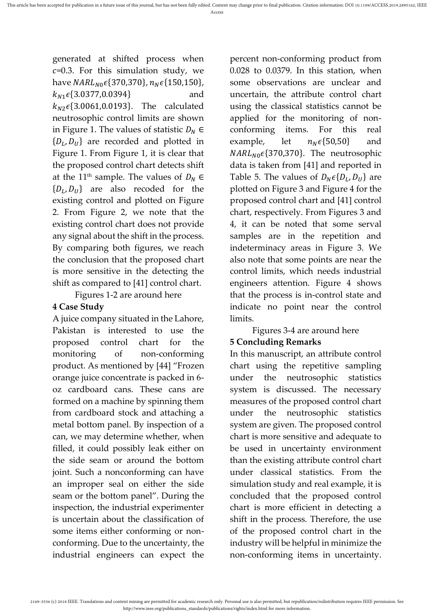generated at shifted process when  $c=0.3$ . For this simulation study, we have  $NARL_{N0} \epsilon \{370,370\}$ ,  $n_N \epsilon \{150,150\}$ ,  $k_{N1}\epsilon$ {3.0377,0.0394} and  $k_{N2} \epsilon \{3.0061, 0.0193\}$ . The calculated neutrosophic control limits are shown in Figure 1. The values of statistic  $D_N \in$  $\{D_L, D_U\}$  are recorded and plotted in Figure 1. From Figure 1, it is clear that the proposed control chart detects shift at the 11<sup>th</sup> sample. The values of  $D_N \in$  $\{D_L, D_U\}$  are also recoded for the existing control and plotted on Figure 2. From Figure 2, we note that the existing control chart does not provide any signal about the shift in the process. By comparing both figures, we reach the conclusion that the proposed chart is more sensitive in the detecting the shift as compared to [\[41\]](#page-8-9) control chart.

Figures 1-2 are around here

#### **4 Case Study**

A juice company situated in the Lahore, Pakistan is interested to use the proposed control chart for the monitoring of non-conforming product. As mentioned by [\[44\]](#page-8-12) "Frozen orange juice concentrate is packed in 6 oz cardboard cans. These cans are formed on a machine by spinning them from cardboard stock and attaching a metal bottom panel. By inspection of a can, we may determine whether, when filled, it could possibly leak either on the side seam or around the bottom joint. Such a nonconforming can have an improper seal on either the side seam or the bottom panel". During the inspection, the industrial experimenter is uncertain about the classification of some items either conforming or nonconforming. Due to the uncertainty, the industrial engineers can expect the

percent non-conforming product from 0.028 to 0.0379. In this station, when some observations are unclear and uncertain, the attribute control chart using the classical statistics cannot be applied for the monitoring of nonconforming items. For this real example, let  $n_N \epsilon \{50,50\}$  and  $NARL_{N0} \epsilon \{370,370\}$ . The neutrosophic data is taken from [\[41\]](#page-8-9) and reported in Table 5. The values of  $D_N \epsilon \{D_L, D_U\}$  are plotted on Figure 3 and Figure 4 for the proposed control chart and [\[41\]](#page-8-9) control chart, respectively. From Figures 3 and 4, it can be noted that some serval samples are in the repetition and indeterminacy areas in Figure 3. We also note that some points are near the control limits, which needs industrial engineers attention. Figure 4 shows that the process is in-control state and indicate no point near the control limits.

## Figures 3-4 are around here

## **5 Concluding Remarks**

In this manuscript, an attribute control chart using the repetitive sampling under the neutrosophic statistics system is discussed. The necessary measures of the proposed control chart under the neutrosophic statistics system are given. The proposed control chart is more sensitive and adequate to be used in uncertainty environment than the existing attribute control chart under classical statistics. From the simulation study and real example, it is concluded that the proposed control chart is more efficient in detecting a shift in the process. Therefore, the use of the proposed control chart in the industry will be helpful in minimize the non-conforming items in uncertainty.

<sup>2169-3536 (</sup>c) 2018 IEEE. Translations and content mining are permitted for academic research only. Personal use is also permitted, but republication/redistribution requires IEEE permission. See http://www.ieee.org/publications\_standards/publications/rights/index.html for more information.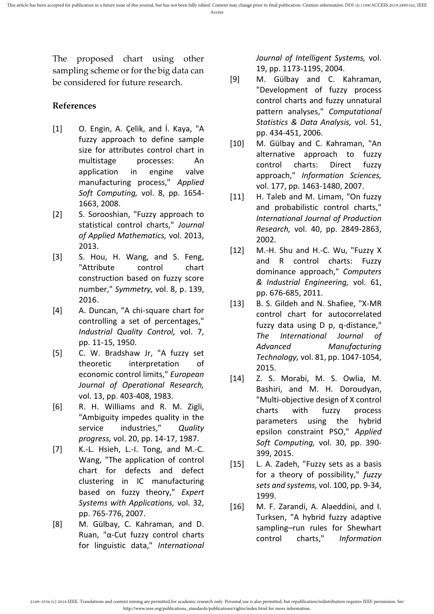The proposed chart using other sampling scheme or for the big data can be considered for future research.

#### **References**

- <span id="page-6-0"></span>[1] O. Engin, A. Çelik, and İ. Kaya, "A fuzzy approach to define sample size for attributes control chart in multistage processes: An application in engine valve manufacturing process," *Applied Soft Computing,* vol. 8, pp. 1654- 1663, 2008.
- <span id="page-6-1"></span>[2] S. Sorooshian, "Fuzzy approach to statistical control charts," *Journal of Applied Mathematics,* vol. 2013, 2013.
- <span id="page-6-2"></span>[3] S. Hou, H. Wang, and S. Feng, "Attribute control chart construction based on fuzzy score number," *Symmetry,* vol. 8, p. 139, 2016.
- <span id="page-6-3"></span>[4] A. Duncan, "A chi-square chart for controlling a set of percentages," *Industrial Quality Control,* vol. 7, pp. 11-15, 1950.
- <span id="page-6-4"></span>[5] C. W. Bradshaw Jr, "A fuzzy set theoretic interpretation of economic control limits," *European Journal of Operational Research,*  vol. 13, pp. 403-408, 1983.
- <span id="page-6-5"></span>[6] R. H. Williams and R. M. Zigli, "Ambiguity impedes quality in the service industries," *Quality progress,* vol. 20, pp. 14-17, 1987.
- <span id="page-6-6"></span>[7] K.-L. Hsieh, L.-I. Tong, and M.-C. Wang, "The application of control chart for defects and defect clustering in IC manufacturing based on fuzzy theory," *Expert Systems with Applications,* vol. 32, pp. 765-776, 2007.
- <span id="page-6-7"></span>[8] M. Gülbay, C. Kahraman, and D. Ruan, "α‐Cut fuzzy control charts for linguistic data," *International*

*Journal of Intelligent Systems,* vol. 19, pp. 1173-1195, 2004.

- <span id="page-6-8"></span>[9] M. Gülbay and C. Kahraman, "Development of fuzzy process control charts and fuzzy unnatural pattern analyses," *Computational Statistics & Data Analysis,* vol. 51, pp. 434-451, 2006.
- <span id="page-6-9"></span>[10] M. Gülbay and C. Kahraman, "An alternative approach to fuzzy control charts: Direct fuzzy approach," *Information Sciences,*  vol. 177, pp. 1463-1480, 2007.
- <span id="page-6-10"></span>[11] H. Taleb and M. Limam, "On fuzzy and probabilistic control charts," *International Journal of Production Research,* vol. 40, pp. 2849-2863, 2002.
- <span id="page-6-11"></span>[12] M.-H. Shu and H.-C. Wu, "Fuzzy X and R control charts: Fuzzy dominance approach," *Computers & Industrial Engineering,* vol. 61, pp. 676-685, 2011.
- <span id="page-6-12"></span>[13] B. S. Gildeh and N. Shafiee, "X-MR control chart for autocorrelated fuzzy data using D p, q-distance," *The International Journal of Advanced Manufacturing Technology,* vol. 81, pp. 1047-1054, 2015.
- <span id="page-6-13"></span>[14] Z. S. Morabi, M. S. Owlia, M. Bashiri, and M. H. Doroudyan, "Multi-objective design of X control charts with fuzzy process parameters using the hybrid epsilon constraint PSO," *Applied Soft Computing,* vol. 30, pp. 390- 399, 2015.
- <span id="page-6-14"></span>[15] L. A. Zadeh, "Fuzzy sets as a basis for a theory of possibility," *fuzzy sets and systems,* vol. 100, pp. 9-34, 1999.
- <span id="page-6-15"></span>[16] M. F. Zarandi, A. Alaeddini, and I. Turksen, "A hybrid fuzzy adaptive sampling–run rules for Shewhart control charts," *Information*

<sup>2169-3536 (</sup>c) 2018 IEEE. Translations and content mining are permitted for academic research only. Personal use is also permitted, but republication/redistribution requires IEEE permission. See http://www.ieee.org/publications\_standards/publications/rights/index.html for more information.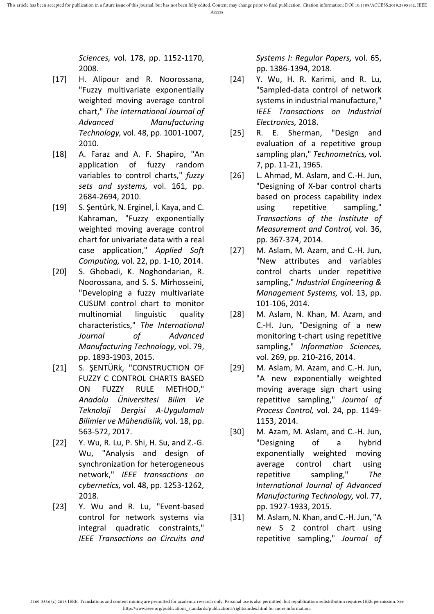*Sciences,* vol. 178, pp. 1152-1170, 2008.

- <span id="page-7-0"></span>[17] H. Alipour and R. Noorossana, "Fuzzy multivariate exponentially weighted moving average control chart," *The International Journal of Advanced Manufacturing Technology,* vol. 48, pp. 1001-1007, 2010.
- <span id="page-7-1"></span>[18] A. Faraz and A. F. Shapiro, "An application of fuzzy random variables to control charts," *fuzzy sets and systems,* vol. 161, pp. 2684-2694, 2010.
- <span id="page-7-2"></span>[19] S. Şentürk, N. Erginel, İ. Kaya, and C. Kahraman, "Fuzzy exponentially weighted moving average control chart for univariate data with a real case application," *Applied Soft Computing,* vol. 22, pp. 1-10, 2014.
- <span id="page-7-3"></span>[20] S. Ghobadi, K. Noghondarian, R. Noorossana, and S. S. Mirhosseini, "Developing a fuzzy multivariate CUSUM control chart to monitor multinomial linguistic quality characteristics," *The International Journal of Advanced Manufacturing Technology,* vol. 79, pp. 1893-1903, 2015.
- <span id="page-7-4"></span>[21] S. ŞENTÜRk, "CONSTRUCTION OF FUZZY C CONTROL CHARTS BASED ON FUZZY RULE METHOD," *Anadolu Üniversitesi Bilim Ve Teknoloji Dergisi A-Uygulamalı Bilimler ve Mühendislik,* vol. 18, pp. 563-572, 2017.
- <span id="page-7-5"></span>[22] Y. Wu, R. Lu, P. Shi, H. Su, and Z.-G. Wu, "Analysis and design of synchronization for heterogeneous network," *IEEE transactions on cybernetics,* vol. 48, pp. 1253-1262, 2018.
- <span id="page-7-6"></span>[23] Y. Wu and R. Lu, "Event-based control for network systems via integral quadratic constraints," *IEEE Transactions on Circuits and*

*Systems I: Regular Papers,* vol. 65, pp. 1386-1394, 2018.

- <span id="page-7-7"></span>[24] Y. Wu, H. R. Karimi, and R. Lu, "Sampled-data control of network systems in industrial manufacture," *IEEE Transactions on Industrial Electronics,* 2018.
- <span id="page-7-8"></span>[25] R. E. Sherman, "Design and evaluation of a repetitive group sampling plan," *Technometrics,* vol. 7, pp. 11-21, 1965.
- <span id="page-7-9"></span>[26] L. Ahmad, M. Aslam, and C.-H. Jun, "Designing of X-bar control charts based on process capability index using repetitive sampling," *Transactions of the Institute of Measurement and Control,* vol. 36, pp. 367-374, 2014.
- <span id="page-7-10"></span>[27] M. Aslam, M. Azam, and C.-H. Jun, "New attributes and variables control charts under repetitive sampling," *Industrial Engineering & Management Systems,* vol. 13, pp. 101-106, 2014.
- <span id="page-7-11"></span>[28] M. Aslam, N. Khan, M. Azam, and C.-H. Jun, "Designing of a new monitoring t-chart using repetitive sampling," *Information Sciences,*  vol. 269, pp. 210-216, 2014.
- <span id="page-7-12"></span>[29] M. Aslam, M. Azam, and C.-H. Jun, "A new exponentially weighted moving average sign chart using repetitive sampling," *Journal of Process Control,* vol. 24, pp. 1149- 1153, 2014.
- <span id="page-7-13"></span>[30] M. Azam, M. Aslam, and C.-H. Jun, "Designing of a hybrid exponentially weighted moving average control chart using repetitive sampling," *The International Journal of Advanced Manufacturing Technology,* vol. 77, pp. 1927-1933, 2015.
- <span id="page-7-14"></span>[31] M. Aslam, N. Khan, and C.-H. Jun, "A new S 2 control chart using repetitive sampling," *Journal of*

<sup>2169-3536 (</sup>c) 2018 IEEE. Translations and content mining are permitted for academic research only. Personal use is also permitted, but republication/redistribution requires IEEE permission. See http://www.ieee.org/publications\_standards/publications/rights/index.html for more information.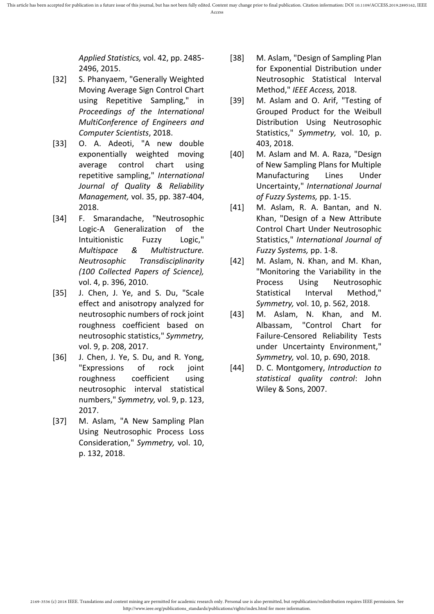*Applied Statistics,* vol. 42, pp. 2485- 2496, 2015.

- <span id="page-8-0"></span>[32] S. Phanyaem, "Generally Weighted Moving Average Sign Control Chart using Repetitive Sampling," in *Proceedings of the International MultiConference of Engineers and Computer Scientists*, 2018.
- <span id="page-8-1"></span>[33] O. A. Adeoti, "A new double exponentially weighted moving average control chart using repetitive sampling," *International Journal of Quality & Reliability Management,* vol. 35, pp. 387-404, 2018.
- <span id="page-8-2"></span>[34] F. Smarandache, "Neutrosophic Logic-A Generalization of the Intuitionistic Fuzzy Logic," *Multispace & Multistructure. Neutrosophic Transdisciplinarity (100 Collected Papers of Science),*  vol. 4, p. 396, 2010.
- <span id="page-8-3"></span>[35] J. Chen, J. Ye, and S. Du, "Scale effect and anisotropy analyzed for neutrosophic numbers of rock joint roughness coefficient based on neutrosophic statistics," *Symmetry,*  vol. 9, p. 208, 2017.
- <span id="page-8-4"></span>[36] J. Chen, J. Ye, S. Du, and R. Yong, "Expressions of rock joint roughness coefficient using neutrosophic interval statistical numbers," *Symmetry,* vol. 9, p. 123, 2017.
- <span id="page-8-5"></span>[37] M. Aslam, "A New Sampling Plan Using Neutrosophic Process Loss Consideration," *Symmetry,* vol. 10, p. 132, 2018.
- <span id="page-8-6"></span>[38] M. Aslam, "Design of Sampling Plan for Exponential Distribution under Neutrosophic Statistical Interval Method," *IEEE Access,* 2018.
- <span id="page-8-7"></span>[39] M. Aslam and O. Arif, "Testing of Grouped Product for the Weibull Distribution Using Neutrosophic Statistics," *Symmetry,* vol. 10, p. 403, 2018.
- <span id="page-8-8"></span>[40] M. Aslam and M. A. Raza, "Design of New Sampling Plans for Multiple Manufacturing Lines Under Uncertainty," *International Journal of Fuzzy Systems,* pp. 1-15.
- <span id="page-8-9"></span>[41] M. Aslam, R. A. Bantan, and N. Khan, "Design of a New Attribute Control Chart Under Neutrosophic Statistics," *International Journal of Fuzzy Systems,* pp. 1-8.
- <span id="page-8-10"></span>[42] M. Aslam, N. Khan, and M. Khan, "Monitoring the Variability in the Process Using Neutrosophic Statistical Interval Method," *Symmetry,* vol. 10, p. 562, 2018.
- <span id="page-8-11"></span>[43] M. Aslam, N. Khan, and M. Albassam, "Control Chart for Failure-Censored Reliability Tests under Uncertainty Environment," *Symmetry,* vol. 10, p. 690, 2018.
- <span id="page-8-12"></span>[44] D. C. Montgomery, *Introduction to statistical quality control*: John Wiley & Sons, 2007.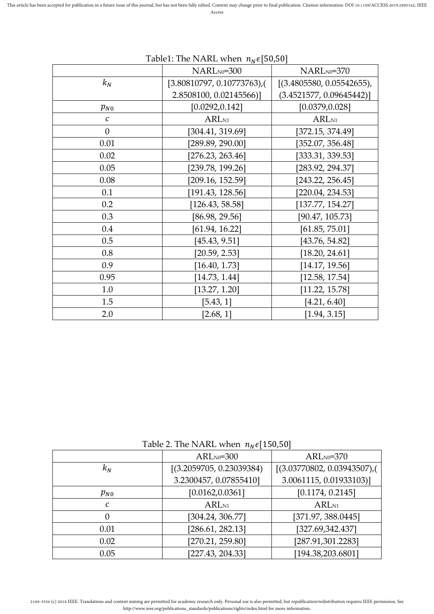|               | NARLN0=300               | NARLN0=370                |
|---------------|--------------------------|---------------------------|
| $k_N$         | [3.80810797, 0.10773763] | [(3.4805580, 0.05542655), |
|               | 2.8508100, 0.02145566)]  | (3.4521577, 0.09645442)]  |
| $p_{N0}$      | [0.0292, 0.142]          | [0.0379, 0.028]           |
| $\mathcal{C}$ | ARL <sub>N1</sub>        | ARL <sub>N1</sub>         |
| $\theta$      | [304.41, 319.69]         | [372.15, 374.49]          |
| 0.01          | [289.89, 290.00]         | [352.07, 356.48]          |
| 0.02          | [276.23, 263.46]         | [333.31, 339.53]          |
| 0.05          | [239.78, 199.26]         | [283.92, 294.37]          |
| 0.08          | [209.16, 152.59]         | [243.22, 256.45]          |
| 0.1           | [191.43, 128.56]         | [220.04, 234.53]          |
| 0.2           | [126.43, 58.58]          | [137.77, 154.27]          |
| 0.3           | [86.98, 29.56]           | [90.47, 105.73]           |
| 0.4           | [61.94, 16.22]           | [61.85, 75.01]            |
| 0.5           | [45.43, 9.51]            | [43.76, 54.82]            |
| 0.8           | [20.59, 2.53]            | [18.20, 24.61]            |
| 0.9           | [16.40, 1.73]            | [14.17, 19.56]            |
| 0.95          | [14.73, 1.44]            | [12.58, 17.54]            |
| 1.0           | [13.27, 1.20]            | [11.22, 15.78]            |
| 1.5           | [5.43, 1]                | [4.21, 6.40]              |
| 2.0           | [2.68, 1]                | [1.94, 3.15]              |

## Table1: The NARL when  $n_N \epsilon$ [50,50]

Table 2. The NARL when  $n_N \epsilon$ [150,50]

|                  | $ARL_{N0} = 300$          | $ARL_{N0}=370$             |  |
|------------------|---------------------------|----------------------------|--|
| $k_N$            | [(3.2059705, 0.23039384)] | [(3.03770802, 0.03943507), |  |
|                  | 3.2300457, 0.07855410]    | 3.0061115, 0.01933103)]    |  |
| $p_{N0}$         | [0.0162, 0.0361]          | [0.1174, 0.2145]           |  |
| C                | ARL <sub>N1</sub>         | ARL <sub>N1</sub>          |  |
| $\left( \right)$ | [304.24, 306.77]          | [371.97, 388.0445]         |  |
| 0.01             | [286.61, 282.13]          | [327.69,342.437]           |  |
| 0.02             | [270.21, 259.80]          | [287.91,301.2283]          |  |
| 0.05             | [227.43, 204.33]          | [194.38,203.6801]          |  |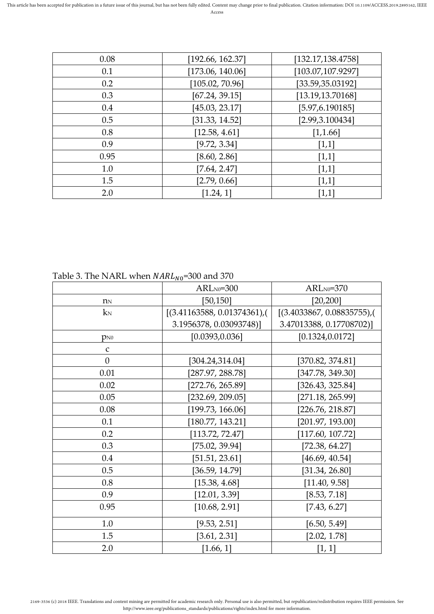| 0.08 | [192.66, 162.37] | [132.17, 138.4758] |
|------|------------------|--------------------|
| 0.1  | [173.06, 140.06] | [103.07,107.9297]  |
| 0.2  | [105.02, 70.96]  | [33.59,35.03192]   |
| 0.3  | [67.24, 39.15]   | [13.19, 13.70168]  |
| 0.4  | [45.03, 23.17]   | [5.97, 6.190185]   |
| 0.5  | [31.33, 14.52]   | [2.99, 3.100434]   |
| 0.8  | [12.58, 4.61]    | [1,1.66]           |
| 0.9  | [9.72, 3.34]     | $[1,1]$            |
| 0.95 | [8.60, 2.86]     | $[1,1]$            |
| 1.0  | [7.64, 2.47]     | [1,1]              |
| 1.5  | [2.79, 0.66]     | [1,1]              |
| 2.0  | [1.24, 1]        | $[1,1]$            |

| Table 3. The NARL when $NARL_{N0}$ =300 and 370 |  |
|-------------------------------------------------|--|
|                                                 |  |

|                  | $ARL_{N0}=300$            | $ARL_{N0}=370$            |  |
|------------------|---------------------------|---------------------------|--|
| $n_N$            | [50, 150]                 | [20, 200]                 |  |
| $k_N$            | [(3.41163588, 0.01374361) | [(3.4033867, 0.08835755), |  |
|                  | 3.1956378, 0.03093748)]   | 3.47013388, 0.17708702)]  |  |
| $p_{N0}$         | [0.0393, 0.036]           | [0.1324, 0.0172]          |  |
| $\mathsf C$      |                           |                           |  |
| $\boldsymbol{0}$ | [304.24, 314.04]          | [370.82, 374.81]          |  |
| 0.01             | [287.97, 288.78]          | [347.78, 349.30]          |  |
| 0.02             | [272.76, 265.89]          | [326.43, 325.84]          |  |
| 0.05             | [232.69, 209.05]          | [271.18, 265.99]          |  |
| 0.08             | [199.73, 166.06]          | [226.76, 218.87]          |  |
| 0.1              | [180.77, 143.21]          | [201.97, 193.00]          |  |
| 0.2              | [113.72, 72.47]           | [117.60, 107.72]          |  |
| 0.3              | [75.02, 39.94]            | [72.38, 64.27]            |  |
| 0.4              | [51.51, 23.61]            | [46.69, 40.54]            |  |
| 0.5              | [36.59, 14.79]            | [31.34, 26.80]            |  |
| 0.8              | [15.38, 4.68]             | [11.40, 9.58]             |  |
| 0.9              | [12.01, 3.39]             | [8.53, 7.18]              |  |
| 0.95             | [10.68, 2.91]             | [7.43, 6.27]              |  |
| 1.0              | [9.53, 2.51]              | [6.50, 5.49]              |  |
| 1.5              | [3.61, 2.31]              | [2.02, 1.78]              |  |
| 2.0              | [1.66, 1]                 | [1, 1]                    |  |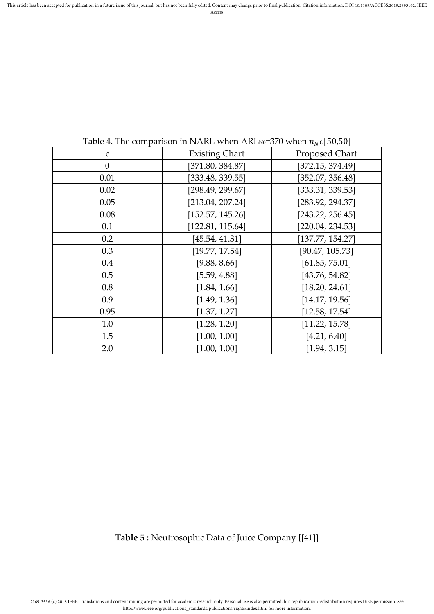| $\mathbf C$      | <b>Existing Chart</b> | Proposed Chart   |
|------------------|-----------------------|------------------|
| $\boldsymbol{0}$ | [371.80, 384.87]      | [372.15, 374.49] |
| 0.01             | [333.48, 339.55]      | [352.07, 356.48] |
| 0.02             | [298.49, 299.67]      | [333.31, 339.53] |
| 0.05             | [213.04, 207.24]      | [283.92, 294.37] |
| 0.08             | [152.57, 145.26]      | [243.22, 256.45] |
| 0.1              | [122.81, 115.64]      | [220.04, 234.53] |
| 0.2              | [45.54, 41.31]        | [137.77, 154.27] |
| 0.3              | [19.77, 17.54]        | [90.47, 105.73]  |
| 0.4              | [9.88, 8.66]          | [61.85, 75.01]   |
| 0.5              | [5.59, 4.88]          | [43.76, 54.82]   |
| 0.8              | [1.84, 1.66]          | [18.20, 24.61]   |
| 0.9              | [1.49, 1.36]          | [14.17, 19.56]   |
| 0.95             | [1.37, 1.27]          | [12.58, 17.54]   |
| 1.0              | [1.28, 1.20]          | [11.22, 15.78]   |
| 1.5              | [1.00, 1.00]          | [4.21, 6.40]     |
| 2.0              | [1.00, 1.00]          | [1.94, 3.15]     |
|                  |                       |                  |

Table 4. The comparison in NARL when ARLN0=370 when  $n_N \epsilon$ [50,50]

**Table 5 :** Neutrosophic Data of Juice Company **[**[\[41\]](#page-8-9)]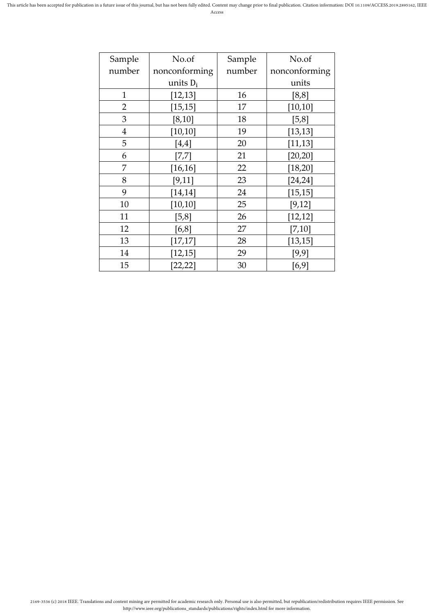| Sample         | No.of         | Sample | No.of         |
|----------------|---------------|--------|---------------|
| number         | nonconforming | number | nonconforming |
|                | units $D_i$   |        | units         |
| $\mathbf{1}$   | [12, 13]      | 16     | [8, 8]        |
| $\overline{2}$ | [15, 15]      | 17     | [10, 10]      |
| 3              | [8, 10]       | 18     | [5, 8]        |
| $\overline{4}$ | [10, 10]      | 19     | [13, 13]      |
| 5              | $[4,4]$       | 20     | [11, 13]      |
| 6              | [7,7]         | 21     | [20, 20]      |
| 7              | [16, 16]      | 22     | [18, 20]      |
| 8              | [9, 11]       | 23     | [24, 24]      |
| 9              | [14, 14]      | 24     | [15, 15]      |
| 10             | [10, 10]      | 25     | [9, 12]       |
| 11             | [5, 8]        | 26     | [12, 12]      |
| 12             | [6,8]         | 27     | [7,10]        |
| 13             | [17, 17]      | 28     | [13, 15]      |
| 14             | [12, 15]      | 29     | [9, 9]        |
| 15             | [22, 22]      | 30     | [6,9]         |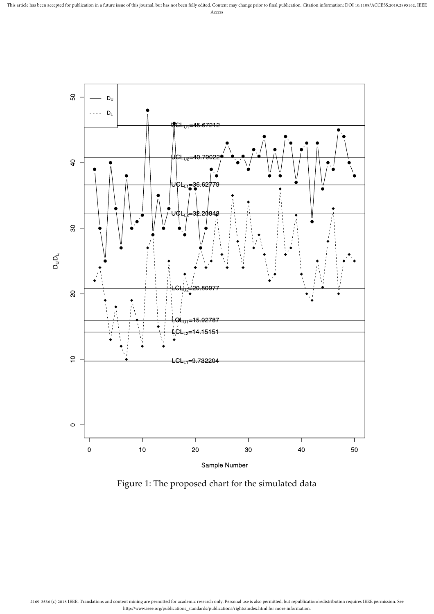

Figure 1: The proposed chart for the simulated data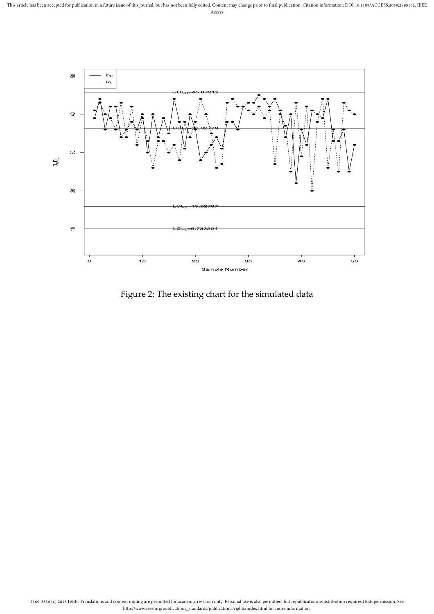

Figure 2: The existing chart for the simulated data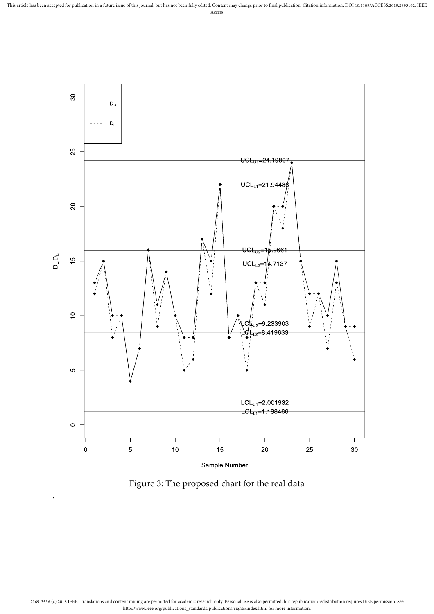

Sample Number

Figure 3: The proposed chart for the real data

.